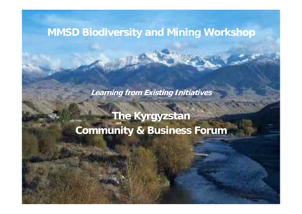# **MMSD Biodiversity and Mining Workshop**

**Learning from Existing Initiatives**

**The Kyrgyzstan Community & Business Forum**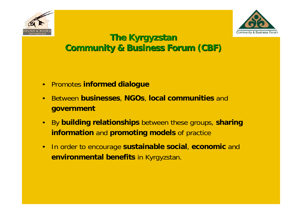



## **The Kyrgyzstan Community & Business Forum (CBF)**

- $\bullet$ Promotes **informed dialogue**
- $\bullet$  Between **businesses**, **NGOs**, **local communities** and **government**
- $\bullet$  By **building relationships** between these groups, **sharing information** and **promoting models** of practice
- $\bullet$  In order to encourage **sustainable social**, **economic** and **environmental benefits** in Kyrgyzstan.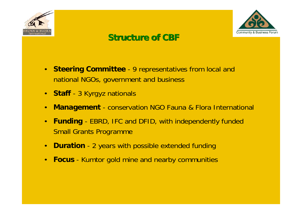



## **Structure of CBF Structure of CBF**

- $\bullet$  **Steering Committee** - 9 representatives from local and national NGOs, government and business
- **Staff** 3 Kyrgyz nationals
- $\bullet$ **Management** - conservation NGO Fauna & Flora International
- $\bullet$  **Funding** - EBRD, IFC and DFID, with independently funded Small Grants Programme
- $\bullet$ **Duration** - 2 years with possible extended funding
- •**Focus** - Kumtor gold mine and nearby communities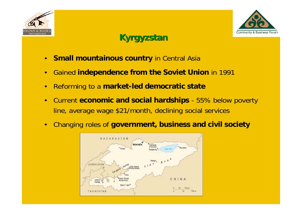



## **Kyrgyzstan Kyrgyzstan**

- •**Small mountainous country in Central Asia**
- •Gained **independence from the Soviet Union** in 1991
- •Reforming to a **market-led democratic state**
- • Current **economic and social hardships** - 55% below poverty line, average wage \$21/month, declining social services
- •Changing roles of **government, business and civil society**

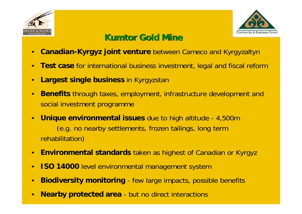



## **Kumtor Gold Mine Gold Mine**

- •**Canadian-Kyrgyz joint venture** between Cameco and Kyrgyzaltyn
- •**Test case** for international business investment, legal and fiscal reform
- $\bullet$ **Largest single business** in Kyrgyzstan
- $\bullet$  **Benefits** through taxes, employment, infrastructure development and social investment programme
- $\bullet$  **Unique environmental issues** due to high altitude - 4,500m (e.g. no nearby settlements, frozen tailings, long term rehabilitation)
- **Environmental standards** taken as highest of Canadian or Kyrgyz
- •**ISO 14000** level environmental management system
- •**Biodiversity monitoring** - few large impacts, possible benefits
- •**Nearby protected area** - but no direct interactions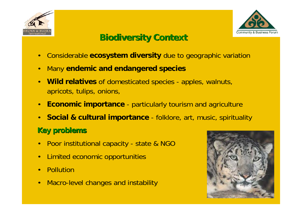



#### **Biodiversity Context Biodiversity Context**

- •Considerable **ecosystem diversity** due to geographic variation
- •Ma n y **endemic and endangered species**
- •**• Wild relatives** of domesticated species - apples, walnuts, apricots, tulips, onions,
- • **Economic importance** - particularly tourism and agriculture
- $\bullet$  **Social & cul tural importance** - folklore, art, music, spirituality

#### **Key problems Key problems**

- •Poor institutional capacity - state & NGO
- $\bullet$ Limited economic opportunities
- •**Pollution**
- •Macro-level changes and instability

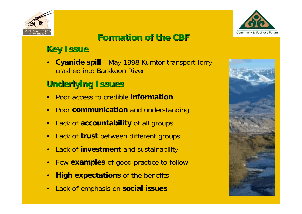



# **Formation of the CBF Formation of the CBF**

# **Key Issue Key Issue**

• **Cyanide spill** - May 1998 Kumtor transport lorry crashed into Barskoon River

# **Underlying Issues Underlying Issues**

- •Poor access to credible **information**
- Poor **communication** and understanding
- $\bullet$ L a c k o f **accountability** of all groups
- $\bullet$ L a c k o f **trust** between different groups
- $\bullet$ L a c k o f **investment** and sustainability
- $\bullet$ F e w **examples** of good practice to follow
- $\bullet$ **High expectations** of the benefits
- $\bullet$ Lack of emphasis on **social issues**

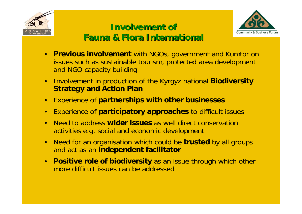



## **Involvement of Involvement of Fauna & Flora International Fauna & Flora International**

- $\bullet$ **Previous involvement** with NGOs, government and Kumtor on issues such as sustainable tourism, protected area development and NGO capacity building
- • Involvement in production of the Kyrgyz national **Biodiversity Strategy and Action Plan**
- $\bullet$ Experience of **partnerships with other businesses**
- $\bullet$ Experience of **participatory approaches** to difficult issues
- • Need to address **wider issues** as well direct conservation activities e.g. social and economic development
- $\bullet$  Need for an organisation which could be **trusted** by all groups and act as an **independent facilitator**
- $\bullet$ **Positive role of biodiversity** as an issue through which other more difficult issues can be addressed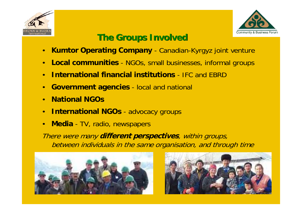



## **The Groups Involved The Groups Involved**

- •**• Kumtor Operating Company** - Canadian-Kyrgyz joint venture
- $\bullet$  **Local communities** -NGOs, small businesses, informal groups
- •**International financial institutions**- IFC and EBRD
- • **Government agencies** - local and national
- •**National NGOs**
- •**International NGOs** - advocacy groups
- $\bullet$ • Media - TV, radio, newspapers

There were many **different perspectives**, within groups, between individuals in the same organisation, and through time



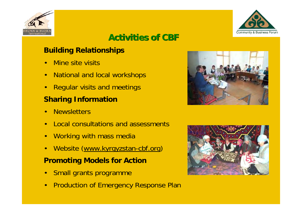



## **Activities of CBF Activities of CBF**

#### **Building Relationships**

- •Mine site visits
- •National and local workshops
- •Regular visits and meetings

#### **Sharing Information**

- •**Newsletters**
- •Local consultations and assessments
- $\bullet$ Working with mass media
- •Website (www.kyrgyzstan-cbf.org )

#### **Promoting Models for Action**

- •Small grants programme
- •Production of Emergency Response Plan



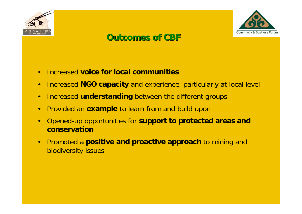



#### **Outcomes of CBF Outcomes of CBF**

- •Increased **voice for local communities**
- $\bullet$ Increased **NGO capacity** and experience, particularly at local level
- •Increased **understanding** between the different groups
- •Provided an **example** to learn from and build upon
- $\bullet$  Opened-up opportunities for **support to protected areas and conservation**
- $\bullet$  Promoted a **positive and proactive approach** to mining and biodiversity issues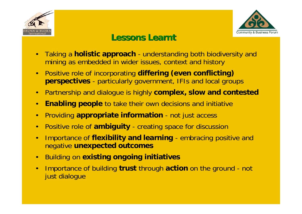



#### **Lessons Learnt Lessons Learnt**

- $\bullet$  Taking a **holistic approach** - understanding both biodiversity and mining as embedded in wider issues, context and history
- $\bullet$  Positive role of incorporating **differing (even conflicting) perspectives** - particularly government, IFIs and local groups
- $\bullet$ Partnership and dialogue is highly **complex, slow and contested**
- $\bullet$ **Enabling people** to take their own decisions and initiative
- $\bullet$ Providing **appropriate information** - not just access
- •Positive role of **ambiguity** - creating space for discussion
- • Importance of **flexibility and learning** - embracing positive and negative **unexpected outcomes**
- •Building on **existing ongoing initiatives**
- • Importance of building **trust** through **action** on the ground - not just dialogue